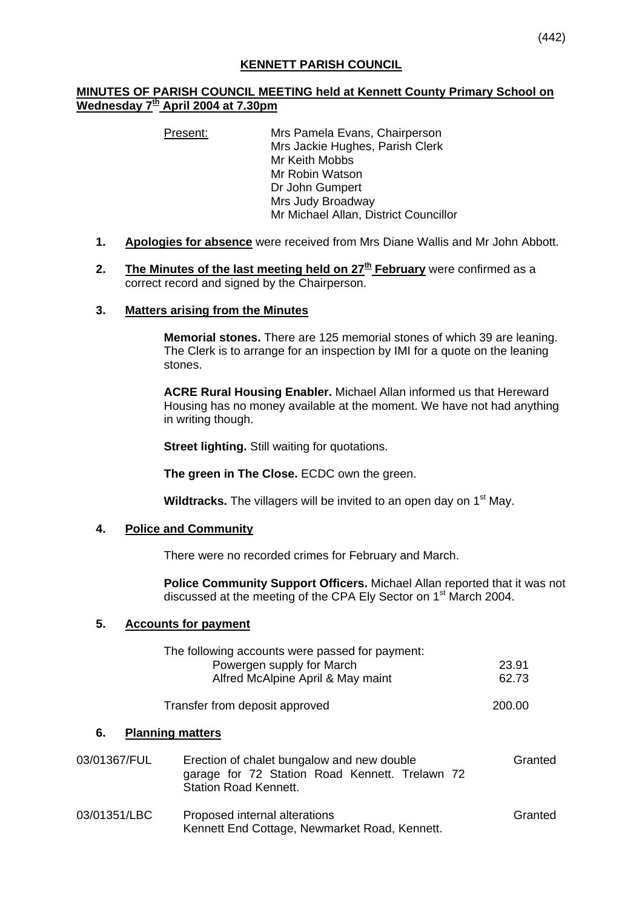## **MINUTES OF PARISH COUNCIL MEETING held at Kennett County Primary School on Wednesday 7th April 2004 at 7.30pm**

Present: Mrs Pamela Evans, Chairperson Mrs Jackie Hughes, Parish Clerk Mr Keith Mobbs Mr Robin Watson Dr John Gumpert Mrs Judy Broadway Mr Michael Allan, District Councillor

- **1. Apologies for absence** were received from Mrs Diane Wallis and Mr John Abbott.
- **2.** The Minutes of the last meeting held on 27<sup>th</sup> February were confirmed as a correct record and signed by the Chairperson.
- **3. Matters arising from the Minutes**

**Memorial stones.** There are 125 memorial stones of which 39 are leaning. The Clerk is to arrange for an inspection by IMI for a quote on the leaning stones.

**ACRE Rural Housing Enabler.** Michael Allan informed us that Hereward Housing has no money available at the moment. We have not had anything in writing though.

**Street lighting.** Still waiting for quotations.

**The green in The Close.** ECDC own the green.

**Wildtracks.** The villagers will be invited to an open day on 1<sup>st</sup> May.

## **4. Police and Community**

There were no recorded crimes for February and March.

**Police Community Support Officers.** Michael Allan reported that it was not discussed at the meeting of the CPA Ely Sector on 1st March 2004.

## **5. Accounts for payment**

|              | The following accounts were passed for payment:<br>Powergen supply for March<br>Alfred McAlpine April & May maint            | 23.91<br>62.73 |
|--------------|------------------------------------------------------------------------------------------------------------------------------|----------------|
|              | Transfer from deposit approved                                                                                               | 200.00         |
| 6.           | <b>Planning matters</b>                                                                                                      |                |
| 03/01367/FUL | Erection of chalet bungalow and new double<br>garage for 72 Station Road Kennett. Trelawn 72<br><b>Station Road Kennett.</b> | Granted        |
| 03/01351/LBC | Proposed internal alterations<br>Kennett End Cottage, Newmarket Road, Kennett.                                               | Granted        |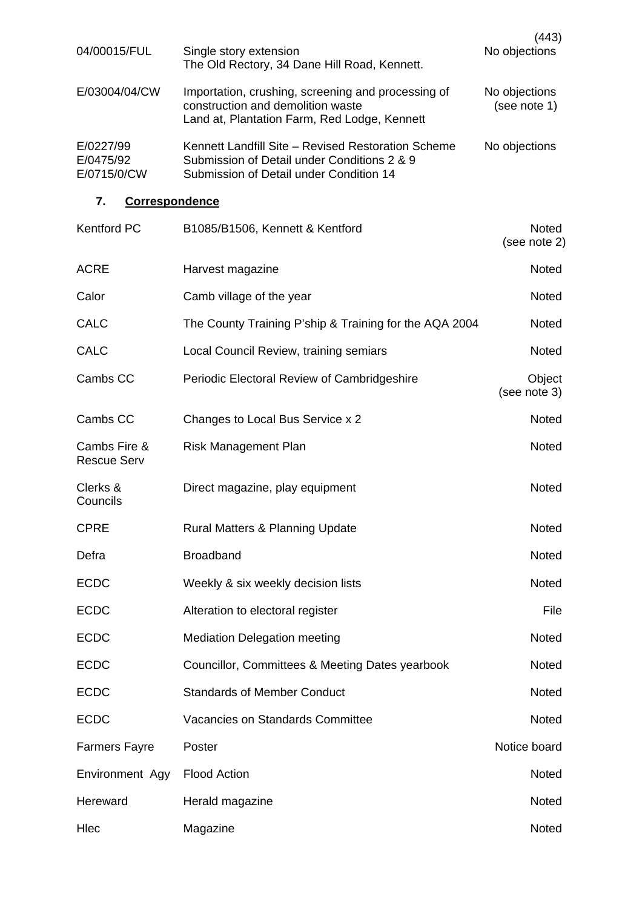| 04/00015/FUL                          | Single story extension<br>The Old Rectory, 34 Dane Hill Road, Kennett.                                                                       | (443)<br>No objections        |  |  |  |
|---------------------------------------|----------------------------------------------------------------------------------------------------------------------------------------------|-------------------------------|--|--|--|
| E/03004/04/CW                         | Importation, crushing, screening and processing of<br>construction and demolition waste<br>Land at, Plantation Farm, Red Lodge, Kennett      | No objections<br>(see note 1) |  |  |  |
| E/0227/99<br>E/0475/92<br>E/0715/0/CW | Kennett Landfill Site - Revised Restoration Scheme<br>Submission of Detail under Conditions 2 & 9<br>Submission of Detail under Condition 14 | No objections                 |  |  |  |
| 7.<br><b>Correspondence</b>           |                                                                                                                                              |                               |  |  |  |
| <b>Kentford PC</b>                    | B1085/B1506, Kennett & Kentford                                                                                                              | <b>Noted</b><br>(see note 2)  |  |  |  |
| <b>ACRE</b>                           | Harvest magazine                                                                                                                             | <b>Noted</b>                  |  |  |  |
| Calor                                 | Camb village of the year                                                                                                                     | <b>Noted</b>                  |  |  |  |
| <b>CALC</b>                           | The County Training P'ship & Training for the AQA 2004                                                                                       | <b>Noted</b>                  |  |  |  |
| CALC                                  | Local Council Review, training semiars                                                                                                       | <b>Noted</b>                  |  |  |  |
| Cambs CC                              | Periodic Electoral Review of Cambridgeshire                                                                                                  | Object<br>(see note 3)        |  |  |  |
| Cambs CC                              | Changes to Local Bus Service x 2                                                                                                             | <b>Noted</b>                  |  |  |  |
| Cambs Fire &<br><b>Rescue Serv</b>    | <b>Risk Management Plan</b>                                                                                                                  | <b>Noted</b>                  |  |  |  |
| Clerks &<br>Councils                  | Direct magazine, play equipment                                                                                                              | <b>Noted</b>                  |  |  |  |
| <b>CPRE</b>                           | <b>Rural Matters &amp; Planning Update</b>                                                                                                   | Noted                         |  |  |  |
| Defra                                 | <b>Broadband</b>                                                                                                                             | Noted                         |  |  |  |
| <b>ECDC</b>                           | Weekly & six weekly decision lists                                                                                                           | <b>Noted</b>                  |  |  |  |
| <b>ECDC</b>                           | Alteration to electoral register                                                                                                             | File                          |  |  |  |
| <b>ECDC</b>                           | <b>Mediation Delegation meeting</b>                                                                                                          | <b>Noted</b>                  |  |  |  |
| <b>ECDC</b>                           | Councillor, Committees & Meeting Dates yearbook                                                                                              | Noted                         |  |  |  |
| <b>ECDC</b>                           | <b>Standards of Member Conduct</b>                                                                                                           | Noted                         |  |  |  |
| <b>ECDC</b>                           | Vacancies on Standards Committee                                                                                                             | Noted                         |  |  |  |
| <b>Farmers Fayre</b>                  | Poster                                                                                                                                       | Notice board                  |  |  |  |
| Environment Agy                       | <b>Flood Action</b>                                                                                                                          | Noted                         |  |  |  |
| Hereward                              | Herald magazine                                                                                                                              | <b>Noted</b>                  |  |  |  |
| Hlec                                  | Magazine                                                                                                                                     | Noted                         |  |  |  |